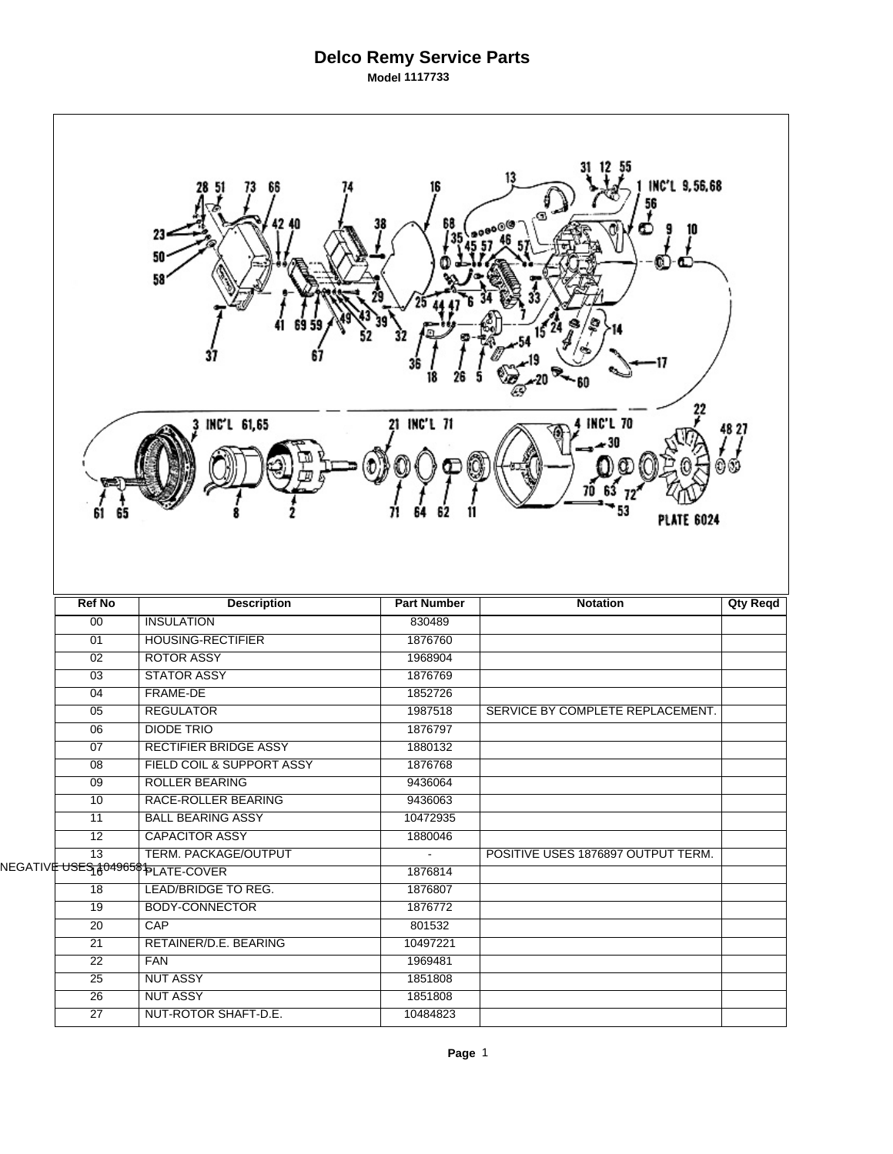## **Delco Remy Service Parts Model 1117733**

| 13<br>INC'L 9,56,68<br>66<br>68<br>10<br>23<br>50<br>58 |                                                                         |                     |                                      |                 |  |  |  |  |
|---------------------------------------------------------|-------------------------------------------------------------------------|---------------------|--------------------------------------|-----------------|--|--|--|--|
| 61                                                      | INC'L 61,65                                                             | 21 INC'L 71         | <b>INC'L 70</b><br><b>PLATE 6024</b> | 48 27           |  |  |  |  |
|                                                         |                                                                         |                     |                                      |                 |  |  |  |  |
| <b>Ref No</b>                                           | <b>Description</b>                                                      | <b>Part Number</b>  | <b>Notation</b>                      | <b>Qty Reqd</b> |  |  |  |  |
| 00                                                      | <b>INSULATION</b>                                                       | 830489              |                                      |                 |  |  |  |  |
| 01                                                      | <b>HOUSING-RECTIFIER</b>                                                | 1876760             |                                      |                 |  |  |  |  |
| $\overline{02}$                                         | <b>ROTOR ASSY</b>                                                       | 1968904             |                                      |                 |  |  |  |  |
| 03                                                      | <b>STATOR ASSY</b>                                                      | 1876769             |                                      |                 |  |  |  |  |
| 04                                                      | <b>FRAME-DE</b>                                                         | 1852726             |                                      |                 |  |  |  |  |
| $\overline{05}$                                         | <b>REGULATOR</b>                                                        | 1987518             | SERVICE BY COMPLETE REPLACEMENT.     |                 |  |  |  |  |
| 06                                                      | <b>DIODE TRIO</b>                                                       | 1876797             |                                      |                 |  |  |  |  |
| 07                                                      | <b>RECTIFIER BRIDGE ASSY</b>                                            | 1880132             |                                      |                 |  |  |  |  |
| 08                                                      | FIELD COIL & SUPPORT ASSY                                               | 1876768             |                                      |                 |  |  |  |  |
| 09                                                      | <b>ROLLER BEARING</b>                                                   | 9436064             |                                      |                 |  |  |  |  |
| 10                                                      | RACE-ROLLER BEARING                                                     | 9436063             |                                      |                 |  |  |  |  |
| 11                                                      | <b>BALL BEARING ASSY</b>                                                | 10472935            |                                      |                 |  |  |  |  |
| 12                                                      | <b>CAPACITOR ASSY</b>                                                   | 1880046             |                                      |                 |  |  |  |  |
| $\overline{13}$                                         | TERM. PACKAGE/OUTPUT                                                    | $\blacksquare$      | POSITIVE USES 1876897 OUTPUT TERM.   |                 |  |  |  |  |
|                                                         | NEGATIV <mark>Ė U<del>SES<sub>I</sub> {04965</del>\$1plATE-COVER</mark> | 1876814             |                                      |                 |  |  |  |  |
| $\overline{18}$                                         | LEAD/BRIDGE TO REG.                                                     | 1876807             |                                      |                 |  |  |  |  |
| $\overline{19}$                                         | <b>BODY-CONNECTOR</b>                                                   | 1876772             |                                      |                 |  |  |  |  |
| $\overline{20}$                                         | CAP                                                                     | 801532              |                                      |                 |  |  |  |  |
| 21                                                      | RETAINER/D.E. BEARING                                                   | 10497221            |                                      |                 |  |  |  |  |
| $\overline{22}$                                         | <b>FAN</b>                                                              | 1969481             |                                      |                 |  |  |  |  |
| 25                                                      | <b>NUT ASSY</b>                                                         | 1851808             |                                      |                 |  |  |  |  |
| 26<br>$\overline{27}$                                   | <b>NUT ASSY</b><br>NUT-ROTOR SHAFT-D.E.                                 | 1851808<br>10484823 |                                      |                 |  |  |  |  |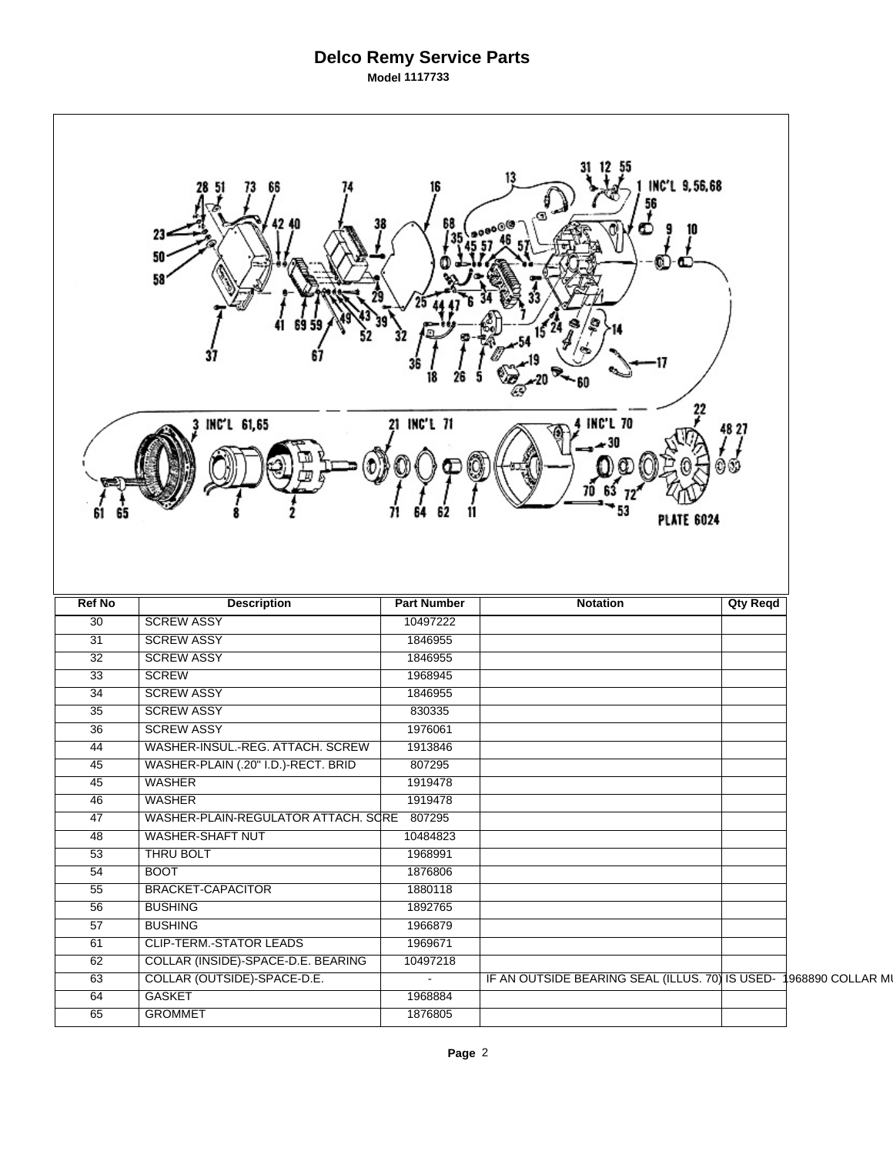## **Delco Remy Service Parts Model 1117733**

| 13<br>INC'L 9,56,68<br>66<br>56<br>68<br>σ.<br>23<br>50<br>U.<br>58<br>22<br>21 INC'L 71<br><b>INC'L 70</b><br>INC'L 61,65<br>48 27<br><b>PLATE 6024</b> |                                     |                    |                                                 |                 |                   |  |  |  |
|----------------------------------------------------------------------------------------------------------------------------------------------------------|-------------------------------------|--------------------|-------------------------------------------------|-----------------|-------------------|--|--|--|
| <b>Ref No</b>                                                                                                                                            | <b>Description</b>                  | <b>Part Number</b> | <b>Notation</b>                                 | <b>Qty Reqd</b> |                   |  |  |  |
| $\overline{30}$                                                                                                                                          | <b>SCREW ASSY</b>                   | 10497222           |                                                 |                 |                   |  |  |  |
| 31                                                                                                                                                       | <b>SCREW ASSY</b>                   | 1846955            |                                                 |                 |                   |  |  |  |
| $\overline{32}$                                                                                                                                          | <b>SCREW ASSY</b>                   | 1846955            |                                                 |                 |                   |  |  |  |
| $\overline{33}$                                                                                                                                          | <b>SCREW</b>                        | 1968945            |                                                 |                 |                   |  |  |  |
| 34                                                                                                                                                       | <b>SCREW ASSY</b>                   | 1846955            |                                                 |                 |                   |  |  |  |
| 35                                                                                                                                                       | <b>SCREW ASSY</b>                   | 830335             |                                                 |                 |                   |  |  |  |
| $\overline{36}$                                                                                                                                          | <b>SCREW ASSY</b>                   | 1976061            |                                                 |                 |                   |  |  |  |
| 44                                                                                                                                                       | WASHER-INSUL.-REG. ATTACH. SCREW    | 1913846            |                                                 |                 |                   |  |  |  |
| 45                                                                                                                                                       | WASHER-PLAIN (.20" I.D.)-RECT. BRID | 807295             |                                                 |                 |                   |  |  |  |
| $\overline{45}$                                                                                                                                          | <b>WASHER</b>                       | 1919478            |                                                 |                 |                   |  |  |  |
| 46                                                                                                                                                       | <b>WASHER</b>                       | 1919478            |                                                 |                 |                   |  |  |  |
| $\overline{47}$                                                                                                                                          | WASHER-PLAIN-REGULATOR ATTACH. SCRE | 807295             |                                                 |                 |                   |  |  |  |
| 48                                                                                                                                                       | <b>WASHER-SHAFT NUT</b>             | 10484823           |                                                 |                 |                   |  |  |  |
| 53                                                                                                                                                       | THRU BOLT                           | 1968991            |                                                 |                 |                   |  |  |  |
| $\overline{54}$                                                                                                                                          | <b>BOOT</b>                         | 1876806            |                                                 |                 |                   |  |  |  |
| 55                                                                                                                                                       | <b>BRACKET-CAPACITOR</b>            | 1880118            |                                                 |                 |                   |  |  |  |
| $\overline{56}$                                                                                                                                          | <b>BUSHING</b>                      | 1892765            |                                                 |                 |                   |  |  |  |
| $\overline{57}$                                                                                                                                          | <b>BUSHING</b>                      | 1966879            |                                                 |                 |                   |  |  |  |
| 61                                                                                                                                                       | <b>CLIP-TERM.-STATOR LEADS</b>      | 1969671            |                                                 |                 |                   |  |  |  |
| 62                                                                                                                                                       | COLLAR (INSIDE)-SPACE-D.E. BEARING  | 10497218           |                                                 |                 |                   |  |  |  |
| 63                                                                                                                                                       | COLLAR (OUTSIDE)-SPACE-D.E.         | $\blacksquare$     | IF AN OUTSIDE BEARING SEAL (ILLUS. 70) IS USED- |                 | 1968890 COLLAR MI |  |  |  |
| 64<br>65                                                                                                                                                 | GASKET<br><b>GROMMET</b>            | 1968884<br>1876805 |                                                 |                 |                   |  |  |  |
|                                                                                                                                                          |                                     |                    |                                                 |                 |                   |  |  |  |